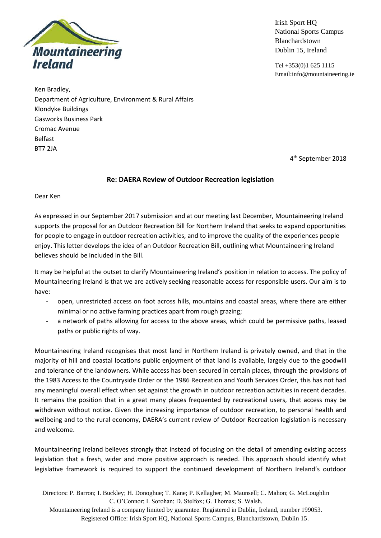

Irish Sport HQ National Sports Campus Blanchardstown Dublin 15, Ireland

Tel +353(0)1 625 1115 Email:info@mountaineering.ie

Ken Bradley, Department of Agriculture, Environment & Rural Affairs Klondyke Buildings Gasworks Business Park Cromac Avenue Belfast BT7 2JA

4 th September 2018

### **Re: DAERA Review of Outdoor Recreation legislation**

Dear Ken

As expressed in our September 2017 submission and at our meeting last December, Mountaineering Ireland supports the proposal for an Outdoor Recreation Bill for Northern Ireland that seeks to expand opportunities for people to engage in outdoor recreation activities, and to improve the quality of the experiences people enjoy. This letter develops the idea of an Outdoor Recreation Bill, outlining what Mountaineering Ireland believes should be included in the Bill.

It may be helpful at the outset to clarify Mountaineering Ireland's position in relation to access. The policy of Mountaineering Ireland is that we are actively seeking reasonable access for responsible users. Our aim is to have:

- open, unrestricted access on foot across hills, mountains and coastal areas, where there are either minimal or no active farming practices apart from rough grazing;
- a network of paths allowing for access to the above areas, which could be permissive paths, leased paths or public rights of way.

Mountaineering Ireland recognises that most land in Northern Ireland is privately owned, and that in the majority of hill and coastal locations public enjoyment of that land is available, largely due to the goodwill and tolerance of the landowners. While access has been secured in certain places, through the provisions of the 1983 Access to the Countryside Order or the 1986 Recreation and Youth Services Order, this has not had any meaningful overall effect when set against the growth in outdoor recreation activities in recent decades. It remains the position that in a great many places frequented by recreational users, that access may be withdrawn without notice. Given the increasing importance of outdoor recreation, to personal health and wellbeing and to the rural economy, DAERA's current review of Outdoor Recreation legislation is necessary and welcome.

Mountaineering Ireland believes strongly that instead of focusing on the detail of amending existing access legislation that a fresh, wider and more positive approach is needed. This approach should identify what legislative framework is required to support the continued development of Northern Ireland's outdoor

Directors: P. Barron; I. Buckley; H. Donoghue; T. Kane; P. Kellagher; M. Maunsell; C. Mahon; G. McLoughlin C. O'Connor; I. Sorohan; D. Stelfox; G. Thomas; S. Walsh.

Mountaineering Ireland is a company limited by guarantee. Registered in Dublin, Ireland, number 199053. Registered Office: Irish Sport HQ, National Sports Campus, Blanchardstown, Dublin 15.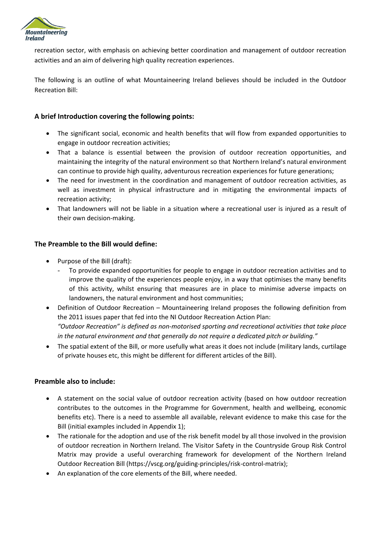

recreation sector, with emphasis on achieving better coordination and management of outdoor recreation activities and an aim of delivering high quality recreation experiences.

The following is an outline of what Mountaineering Ireland believes should be included in the Outdoor Recreation Bill:

#### **A brief Introduction covering the following points:**

- The significant social, economic and health benefits that will flow from expanded opportunities to engage in outdoor recreation activities;
- That a balance is essential between the provision of outdoor recreation opportunities, and maintaining the integrity of the natural environment so that Northern Ireland's natural environment can continue to provide high quality, adventurous recreation experiences for future generations;
- The need for investment in the coordination and management of outdoor recreation activities, as well as investment in physical infrastructure and in mitigating the environmental impacts of recreation activity;
- That landowners will not be liable in a situation where a recreational user is injured as a result of their own decision-making.

#### **The Preamble to the Bill would define:**

- Purpose of the Bill (draft):
	- To provide expanded opportunities for people to engage in outdoor recreation activities and to improve the quality of the experiences people enjoy, in a way that optimises the many benefits of this activity, whilst ensuring that measures are in place to minimise adverse impacts on landowners, the natural environment and host communities;
- Definition of Outdoor Recreation Mountaineering Ireland proposes the following definition from the 2011 issues paper that fed into the NI Outdoor Recreation Action Plan: *"Outdoor Recreation" is defined as non-motorised sporting and recreational activities that take place in the natural environment and that generally do not require a dedicated pitch or building."*
- The spatial extent of the Bill, or more usefully what areas it does not include (military lands, curtilage of private houses etc, this might be different for different articles of the Bill).

#### **Preamble also to include:**

- A statement on the social value of outdoor recreation activity (based on how outdoor recreation contributes to the outcomes in the Programme for Government, health and wellbeing, economic benefits etc). There is a need to assemble all available, relevant evidence to make this case for the Bill (initial examples included in Appendix 1);
- The rationale for the adoption and use of the risk benefit model by all those involved in the provision of outdoor recreation in Northern Ireland. The Visitor Safety in the Countryside Group Risk Control Matrix may provide a useful overarching framework for development of the Northern Ireland Outdoor Recreation Bill (https://vscg.org/guiding-principles/risk-control-matrix);
- An explanation of the core elements of the Bill, where needed.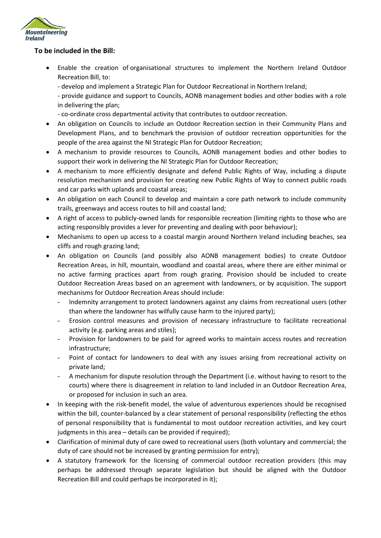

## **To be included in the Bill:**

- Enable the creation of organisational structures to implement the Northern Ireland Outdoor Recreation Bill, to:
	- develop and implement a Strategic Plan for Outdoor Recreational in Northern Ireland;

- provide guidance and support to Councils, AONB management bodies and other bodies with a role in delivering the plan;

- co-ordinate cross departmental activity that contributes to outdoor recreation.
- An obligation on Councils to include an Outdoor Recreation section in their Community Plans and Development Plans, and to benchmark the provision of outdoor recreation opportunities for the people of the area against the NI Strategic Plan for Outdoor Recreation;
- A mechanism to provide resources to Councils, AONB management bodies and other bodies to support their work in delivering the NI Strategic Plan for Outdoor Recreation;
- A mechanism to more efficiently designate and defend Public Rights of Way, including a dispute resolution mechanism and provision for creating new Public Rights of Way to connect public roads and car parks with uplands and coastal areas;
- An obligation on each Council to develop and maintain a core path network to include community trails, greenways and access routes to hill and coastal land;
- A right of access to publicly-owned lands for responsible recreation (limiting rights to those who are acting responsibly provides a lever for preventing and dealing with poor behaviour);
- Mechanisms to open up access to a coastal margin around Northern Ireland including beaches, sea cliffs and rough grazing land;
- An obligation on Councils (and possibly also AONB management bodies) to create Outdoor Recreation Areas, in hill, mountain, woodland and coastal areas, where there are either minimal or no active farming practices apart from rough grazing. Provision should be included to create Outdoor Recreation Areas based on an agreement with landowners, or by acquisition. The support mechanisms for Outdoor Recreation Areas should include:
	- Indemnity arrangement to protect landowners against any claims from recreational users (other than where the landowner has wilfully cause harm to the injured party);
	- Erosion control measures and provision of necessary infrastructure to facilitate recreational activity (e.g. parking areas and stiles);
	- Provision for landowners to be paid for agreed works to maintain access routes and recreation infrastructure;
	- Point of contact for landowners to deal with any issues arising from recreational activity on private land;
	- A mechanism for dispute resolution through the Department (i.e. without having to resort to the courts) where there is disagreement in relation to land included in an Outdoor Recreation Area, or proposed for inclusion in such an area.
- In keeping with the risk-benefit model, the value of adventurous experiences should be recognised within the bill, counter-balanced by a clear statement of personal responsibility (reflecting the ethos of personal responsibility that is fundamental to most outdoor recreation activities, and key court judgments in this area – details can be provided if required);
- Clarification of minimal duty of care owed to recreational users (both voluntary and commercial; the duty of care should not be increased by granting permission for entry);
- A statutory framework for the licensing of commercial outdoor recreation providers (this may perhaps be addressed through separate legislation but should be aligned with the Outdoor Recreation Bill and could perhaps be incorporated in it);